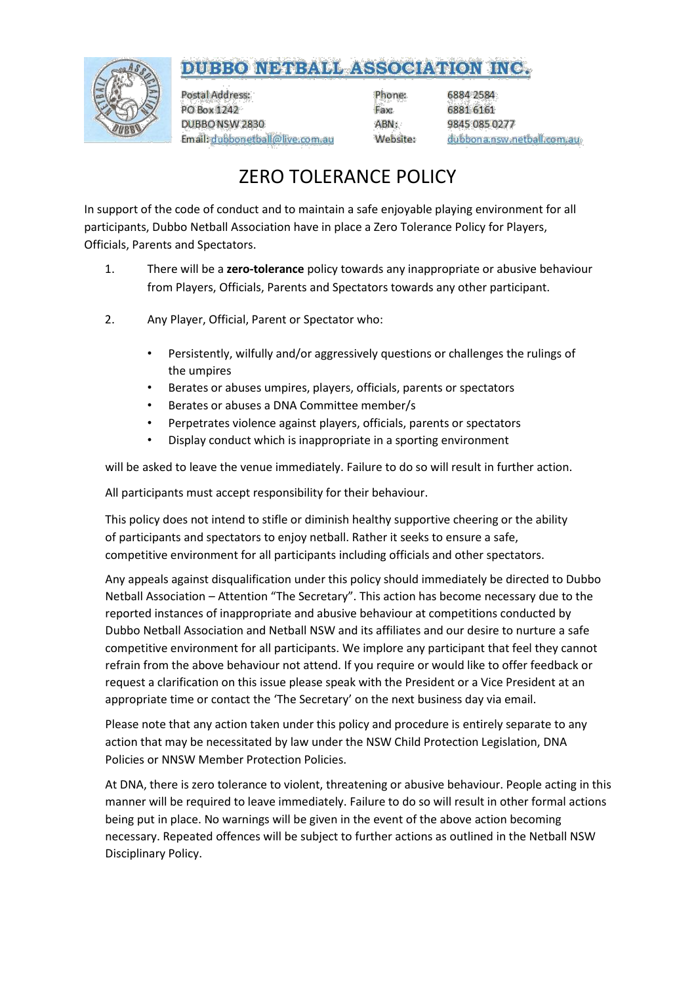## DUBBO NETBALL ASSOCIATION INC.



Postal Address: PO Box 1242 DUBBO NSW 2830 Email: dubbonetball@live.com.au

Phone: Fax: ABN: Website: 6884 2584 6881 6161 9845 085 0277 dubbona.nsw.netball.com.au

## ZERO TOLERANCE POLICY

In support of the code of conduct and to maintain a safe enjoyable playing environment for all participants, Dubbo Netball Association have in place a Zero Tolerance Policy for Players, Officials, Parents and Spectators.

- 1. There will be a **zero-tolerance** policy towards any inappropriate or abusive behaviour from Players, Officials, Parents and Spectators towards any other participant.
- 2. Any Player, Official, Parent or Spectator who:
	- Persistently, wilfully and/or aggressively questions or challenges the rulings of the umpires
	- Berates or abuses umpires, players, officials, parents or spectators
	- Berates or abuses a DNA Committee member/s
	- Perpetrates violence against players, officials, parents or spectators
	- Display conduct which is inappropriate in a sporting environment

will be asked to leave the venue immediately. Failure to do so will result in further action.

All participants must accept responsibility for their behaviour.

This policy does not intend to stifle or diminish healthy supportive cheering or the ability of participants and spectators to enjoy netball. Rather it seeks to ensure a safe, competitive environment for all participants including officials and other spectators.

Any appeals against disqualification under this policy should immediately be directed to Dubbo Netball Association – Attention "The Secretary". This action has become necessary due to the reported instances of inappropriate and abusive behaviour at competitions conducted by Dubbo Netball Association and Netball NSW and its affiliates and our desire to nurture a safe competitive environment for all participants. We implore any participant that feel they cannot refrain from the above behaviour not attend. If you require or would like to offer feedback or request a clarification on this issue please speak with the President or a Vice President at an appropriate time or contact the 'The Secretary' on the next business day via email.

Please note that any action taken under this policy and procedure is entirely separate to any action that may be necessitated by law under the NSW Child Protection Legislation, DNA Policies or NNSW Member Protection Policies.

At DNA, there is zero tolerance to violent, threatening or abusive behaviour. People acting in this manner will be required to leave immediately. Failure to do so will result in other formal actions being put in place. No warnings will be given in the event of the above action becoming necessary. Repeated offences will be subject to further actions as outlined in the Netball NSW Disciplinary Policy.